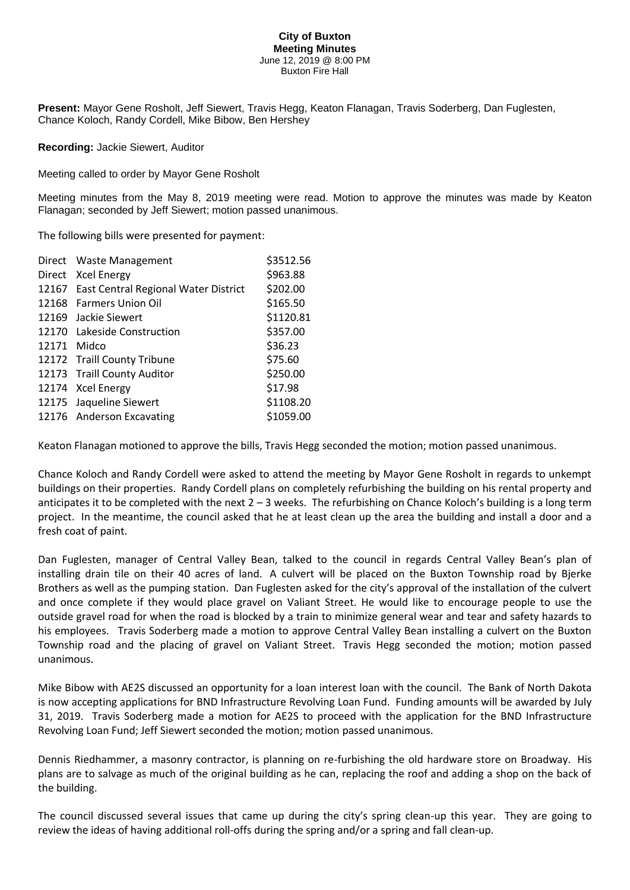## **City of Buxton Meeting Minutes** June 12, 2019 @ 8:00 PM Buxton Fire Hall

**Present:** Mayor Gene Rosholt, Jeff Siewert, Travis Hegg, Keaton Flanagan, Travis Soderberg, Dan Fuglesten, Chance Koloch, Randy Cordell, Mike Bibow, Ben Hershey

**Recording:** Jackie Siewert, Auditor

Meeting called to order by Mayor Gene Rosholt

Meeting minutes from the May 8, 2019 meeting were read. Motion to approve the minutes was made by Keaton Flanagan; seconded by Jeff Siewert; motion passed unanimous.

The following bills were presented for payment:

|       | Direct Waste Management                    | \$3512.56 |
|-------|--------------------------------------------|-----------|
|       | Direct Xcel Energy                         | \$963.88  |
|       | 12167 East Central Regional Water District | \$202.00  |
|       | 12168 Farmers Union Oil                    | \$165.50  |
|       | 12169 Jackie Siewert                       | \$1120.81 |
|       | 12170 Lakeside Construction                | \$357.00  |
| 12171 | Midco                                      | \$36.23   |
|       | 12172 Traill County Tribune                | \$75.60   |
|       | 12173 Traill County Auditor                | \$250.00  |
|       | 12174 Xcel Energy                          | \$17.98   |
|       | 12175 Jaqueline Siewert                    | \$1108.20 |
|       | 12176 Anderson Excavating                  | \$1059.00 |

Keaton Flanagan motioned to approve the bills, Travis Hegg seconded the motion; motion passed unanimous.

Chance Koloch and Randy Cordell were asked to attend the meeting by Mayor Gene Rosholt in regards to unkempt buildings on their properties. Randy Cordell plans on completely refurbishing the building on his rental property and anticipates it to be completed with the next  $2 - 3$  weeks. The refurbishing on Chance Koloch's building is a long term project. In the meantime, the council asked that he at least clean up the area the building and install a door and a fresh coat of paint.

Dan Fuglesten, manager of Central Valley Bean, talked to the council in regards Central Valley Bean's plan of installing drain tile on their 40 acres of land. A culvert will be placed on the Buxton Township road by Bjerke Brothers as well as the pumping station. Dan Fuglesten asked for the city's approval of the installation of the culvert and once complete if they would place gravel on Valiant Street. He would like to encourage people to use the outside gravel road for when the road is blocked by a train to minimize general wear and tear and safety hazards to his employees. Travis Soderberg made a motion to approve Central Valley Bean installing a culvert on the Buxton Township road and the placing of gravel on Valiant Street. Travis Hegg seconded the motion; motion passed unanimous.

Mike Bibow with AE2S discussed an opportunity for a loan interest loan with the council. The Bank of North Dakota is now accepting applications for BND Infrastructure Revolving Loan Fund. Funding amounts will be awarded by July 31, 2019. Travis Soderberg made a motion for AE2S to proceed with the application for the BND Infrastructure Revolving Loan Fund; Jeff Siewert seconded the motion; motion passed unanimous.

Dennis Riedhammer, a masonry contractor, is planning on re-furbishing the old hardware store on Broadway. His plans are to salvage as much of the original building as he can, replacing the roof and adding a shop on the back of the building.

The council discussed several issues that came up during the city's spring clean-up this year. They are going to review the ideas of having additional roll-offs during the spring and/or a spring and fall clean-up.